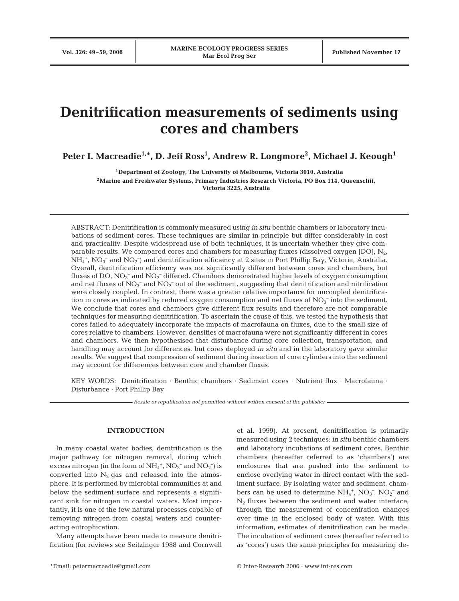# **Denitrification measurements of sediments using cores and chambers**

Peter I. Macreadie<sup>1,</sup>\*, D. Jeff Ross<sup>1</sup>, Andrew R. Longmore<sup>2</sup>, Michael J. Keough<sup>1</sup>

**1Department of Zoology, The University of Melbourne, Victoria 3010, Australia 2Marine and Freshwater Systems, Primary Industries Research Victoria, PO Box 114, Queenscliff, Victoria 3225, Australia**

ABSTRACT: Denitrification is commonly measured using *in situ* benthic chambers or laboratory incubations of sediment cores. These techniques are similar in principle but differ considerably in cost and practicality. Despite widespread use of both techniques, it is uncertain whether they give comparable results. We compared cores and chambers for measuring fluxes (dissolved oxygen [DO],  $N<sub>2</sub>$ ,  $NH_4^+$ ,  $NO_3^-$  and  $NO_2^-$ ) and denitrification efficiency at 2 sites in Port Phillip Bay, Victoria, Australia. Overall, denitrification efficiency was not significantly different between cores and chambers, but fluxes of DO,  $\text{NO}_3^-$  and  $\text{NO}_2^-$  differed. Chambers demonstrated higher levels of oxygen consumption and net fluxes of  $NO_3^-$  and  $NO_2^-$  out of the sediment, suggesting that denitrification and nitrification were closely coupled. In contrast, there was a greater relative importance for uncoupled denitrification in cores as indicated by reduced oxygen consumption and net fluxes of  $NO<sub>3</sub><sup>-</sup>$  into the sediment. We conclude that cores and chambers give different flux results and therefore are not comparable techniques for measuring denitrification. To ascertain the cause of this, we tested the hypothesis that cores failed to adequately incorporate the impacts of macrofauna on fluxes, due to the small size of cores relative to chambers. However, densities of macrofauna were not significantly different in cores and chambers. We then hypothesised that disturbance during core collection, transportation, and handling may account for differences, but cores deployed *in situ* and in the laboratory gave similar results. We suggest that compression of sediment during insertion of core cylinders into the sediment may account for differences between core and chamber fluxes.

KEY WORDS: Denitrification · Benthic chambers · Sediment cores · Nutrient flux · Macrofauna · Disturbance · Port Phillip Bay

*Resale or republication not permitted without written consent of the publisher*

## **INTRODUCTION**

In many coastal water bodies, denitrification is the major pathway for nitrogen removal, during which excess nitrogen (in the form of  $NH_4^+$ ,  $NO_3^-$  and  $NO_2^-$ ) is converted into  $N_2$  gas and released into the atmosphere. It is performed by microbial communities at and below the sediment surface and represents a significant sink for nitrogen in coastal waters. Most importantly, it is one of the few natural processes capable of removing nitrogen from coastal waters and counteracting eutrophication.

Many attempts have been made to measure denitrification (for reviews see Seitzinger 1988 and Cornwell et al. 1999). At present, denitrification is primarily measured using 2 techniques: *in situ* benthic chambers and laboratory incubations of sediment cores. Benthic chambers (hereafter referred to as 'chambers') are enclosures that are pushed into the sediment to enclose overlying water in direct contact with the sediment surface. By isolating water and sediment, chambers can be used to determine  $NH_4^+$ ,  $NO_3^-$ ,  $NO_2^-$  and  $N_2$  fluxes between the sediment and water interface, through the measurement of concentration changes over time in the enclosed body of water. With this information, estimates of denitrification can be made. The incubation of sediment cores (hereafter referred to as 'cores') uses the same principles for measuring de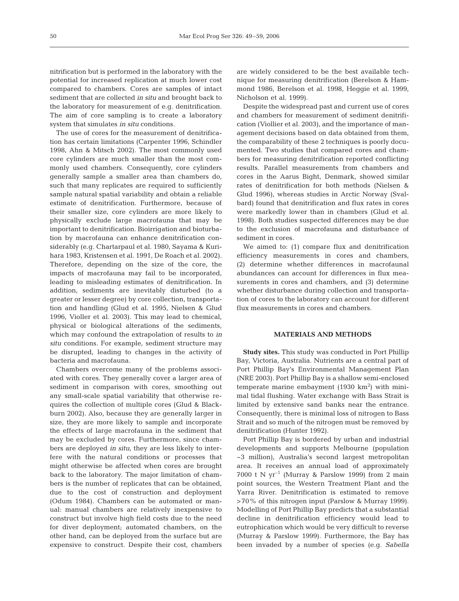nitrification but is performed in the laboratory with the potential for increased replication at much lower cost compared to chambers. Cores are samples of intact sediment that are collected *in situ* and brought back to the laboratory for measurement of e.g. denitrification. The aim of core sampling is to create a laboratory system that simulates *in situ* conditions.

The use of cores for the measurement of denitrification has certain limitations (Carpenter 1996, Schindler 1998, Ahn & Mitsch 2002). The most commonly used core cylinders are much smaller than the most commonly used chambers. Consequently, core cylinders generally sample a smaller area than chambers do, such that many replicates are required to sufficiently sample natural spatial variability and obtain a reliable estimate of denitrification. Furthermore, because of their smaller size, core cylinders are more likely to physically exclude large macrofauna that may be important to denitrification. Bioirrigation and bioturbation by macrofauna can enhance denitrification considerably (e.g. Chartarpaul et al. 1980, Sayama & Kurihara 1983, Kristensen et al. 1991, De Roach et al. 2002). Therefore, depending on the size of the core, the impacts of macrofauna may fail to be incorporated, leading to misleading estimates of denitrification. In addition, sediments are inevitably disturbed (to a greater or lesser degree) by core collection, transportation and handling (Glud et al. 1995, Nielsen & Glud 1996, Violler et al. 2003). This may lead to chemical, physical or biological alterations of the sediments, which may confound the extrapolation of results to *in situ* conditions. For example, sediment structure may be disrupted, leading to changes in the activity of bacteria and macrofauna.

Chambers overcome many of the problems associated with cores. They generally cover a larger area of sediment in comparison with cores, smoothing out any small-scale spatial variability that otherwise requires the collection of multiple cores (Glud & Blackburn 2002). Also, because they are generally larger in size, they are more likely to sample and incorporate the effects of large macrofauna in the sediment that may be excluded by cores. Furthermore, since chambers are deployed *in situ*, they are less likely to interfere with the natural conditions or processes that might otherwise be affected when cores are brought back to the laboratory. The major limitation of chambers is the number of replicates that can be obtained, due to the cost of construction and deployment (Odum 1984). Chambers can be automated or manual: manual chambers are relatively inexpensive to construct but involve high field costs due to the need for diver deployment; automated chambers, on the other hand, can be deployed from the surface but are expensive to construct. Despite their cost, chambers

are widely considered to be the best available technique for measuring denitrification (Berelson & Hammond 1986, Berelson et al. 1998, Heggie et al. 1999, Nicholson et al. 1999).

Despite the widespread past and current use of cores and chambers for measurement of sediment denitrification (Viollier et al. 2003), and the importance of management decisions based on data obtained from them, the comparability of these 2 techniques is poorly documented. Two studies that compared cores and chambers for measuring denitrification reported conflicting results. Parallel measurements from chambers and cores in the Aarus Bight, Denmark, showed similar rates of denitrification for both methods (Nielsen & Glud 1996), whereas studies in Arctic Norway (Svalbard) found that denitrification and flux rates in cores were markedly lower than in chambers (Glud et al. 1998). Both studies suspected differences may be due to the exclusion of macrofauna and disturbance of sediment in cores.

We aimed to: (1) compare flux and denitrification efficiency measurements in cores and chambers, (2) determine whether differences in macrofaunal abundances can account for differences in flux measurements in cores and chambers, and (3) determine whether disturbance during collection and transportation of cores to the laboratory can account for different flux measurements in cores and chambers.

## **MATERIALS AND METHODS**

**Study sites.** This study was conducted in Port Phillip Bay, Victoria, Australia. Nutrients are a central part of Port Phillip Bay's Environmental Management Plan (NRE 2003). Port Phillip Bay is a shallow semi-enclosed temperate marine embayment (1930  $km^2$ ) with minimal tidal flushing. Water exchange with Bass Strait is limited by extensive sand banks near the entrance. Consequently, there is minimal loss of nitrogen to Bass Strait and so much of the nitrogen must be removed by denitrification (Hunter 1992).

Port Phillip Bay is bordered by urban and industrial developments and supports Melbourne (population ~3 million), Australia's second largest metropolitan area. It receives an annual load of approximately 7000 t N  $yr^{-1}$  (Murray & Parslow 1999) from 2 main point sources, the Western Treatment Plant and the Yarra River. Denitrification is estimated to remove >70% of this nitrogen input (Parslow & Murray 1999). Modelling of Port Phillip Bay predicts that a substantial decline in denitrification efficiency would lead to eutrophication which would be very difficult to reverse (Murray & Parslow 1999). Furthermore, the Bay has been invaded by a number of species (e.g. *Sabella*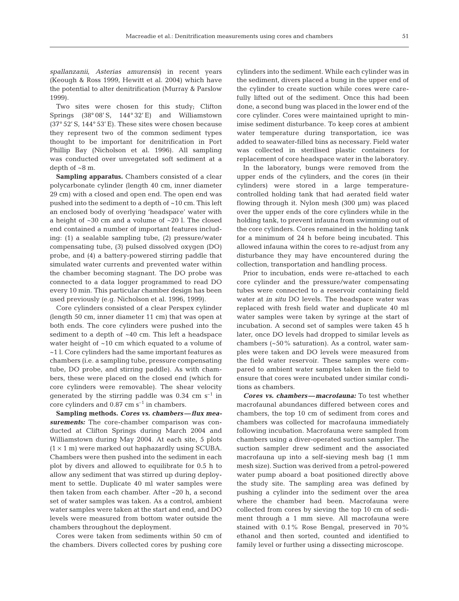*spallanzanii*, *Asterias amurensis*) in recent years (Keough & Ross 1999, Hewitt et al. 2004) which have the potential to alter denitrification (Murray & Parslow 1999).

Two sites were chosen for this study; Clifton Springs (38° 08' S, 144° 32' E) and Williamstown (37° 52' S, 144° 53' E). These sites were chosen because they represent two of the common sediment types thought to be important for denitrification in Port Phillip Bay (Nicholson et al. 1996). All sampling was conducted over unvegetated soft sediment at a depth of ~8 m.

**Sampling apparatus.** Chambers consisted of a clear polycarbonate cylinder (length 40 cm, inner diameter 29 cm) with a closed and open end. The open end was pushed into the sediment to a depth of ~10 cm. This left an enclosed body of overlying 'headspace' water with a height of ~30 cm and a volume of ~20 l. The closed end contained a number of important features including: (1) a sealable sampling tube, (2) pressure/water compensating tube, (3) pulsed dissolved oxygen (DO) probe, and (4) a battery-powered stirring paddle that simulated water currents and prevented water within the chamber becoming stagnant. The DO probe was connected to a data logger programmed to read DO every 10 min. This particular chamber design has been used previously (e.g. Nicholson et al. 1996, 1999).

Core cylinders consisted of a clear Perspex cylinder (length 50 cm, inner diameter 11 cm) that was open at both ends. The core cylinders were pushed into the sediment to a depth of ~40 cm. This left a headspace water height of ~10 cm which equated to a volume of ~1 l. Core cylinders had the same important features as chambers (i.e. a sampling tube, pressure compensating tube, DO probe, and stirring paddle). As with chambers, these were placed on the closed end (which for core cylinders were removable). The shear velocity generated by the stirring paddle was  $0.34 \text{ cm s}^{-1}$  in core cylinders and  $0.87 \text{ cm s}^{-1}$  in chambers.

**Sampling methods.** *Cores vs. chambers—flux measurements:* The core-chamber comparison was conducted at Clifton Springs during March 2004 and Williamstown during May 2004. At each site, 5 plots  $(1 \times 1 \text{ m})$  were marked out haphazardly using SCUBA. Chambers were then pushed into the sediment in each plot by divers and allowed to equilibrate for 0.5 h to allow any sediment that was stirred up during deployment to settle. Duplicate 40 ml water samples were then taken from each chamber. After ~20 h, a second set of water samples was taken. As a control, ambient water samples were taken at the start and end, and DO levels were measured from bottom water outside the chambers throughout the deployment.

Cores were taken from sediments within 50 cm of the chambers. Divers collected cores by pushing core cylinders into the sediment. While each cylinder was in the sediment, divers placed a bung in the upper end of the cylinder to create suction while cores were carefully lifted out of the sediment. Once this had been done, a second bung was placed in the lower end of the core cylinder. Cores were maintained upright to minimise sediment disturbance. To keep cores at ambient water temperature during transportation, ice was added to seawater-filled bins as necessary. Field water was collected in sterilised plastic containers for replacement of core headspace water in the laboratory.

In the laboratory, bungs were removed from the upper ends of the cylinders, and the cores (in their cylinders) were stored in a large temperaturecontrolled holding tank that had aerated field water flowing through it. Nylon mesh (300 µm) was placed over the upper ends of the core cylinders while in the holding tank, to prevent infauna from swimming out of the core cylinders. Cores remained in the holding tank for a minimum of 24 h before being incubated. This allowed infauna within the cores to re-adjust from any disturbance they may have encountered during the collection, transportation and handling process.

Prior to incubation, ends were re-attached to each core cylinder and the pressure/water compensating tubes were connected to a reservoir containing field water at *in situ* DO levels. The headspace water was replaced with fresh field water and duplicate 40 ml water samples were taken by syringe at the start of incubation. A second set of samples were taken 45 h later, once DO levels had dropped to similar levels as chambers (~50% saturation). As a control, water samples were taken and DO levels were measured from the field water reservoir. These samples were compared to ambient water samples taken in the field to ensure that cores were incubated under similar conditions as chambers.

*Cores vs. chambers—macrofauna:* To test whether macrofaunal abundances differed between cores and chambers, the top 10 cm of sediment from cores and chambers was collected for macrofauna immediately following incubation. Macrofauna were sampled from chambers using a diver-operated suction sampler. The suction sampler drew sediment and the associated macrofauna up into a self-sieving mesh bag (1 mm mesh size). Suction was derived from a petrol-powered water pump aboard a boat positioned directly above the study site. The sampling area was defined by pushing a cylinder into the sediment over the area where the chamber had been. Macrofauna were collected from cores by sieving the top 10 cm of sediment through a 1 mm sieve. All macrofauna were stained with 0.1% Rose Bengal, preserved in 70% ethanol and then sorted, counted and identified to family level or further using a dissecting microscope.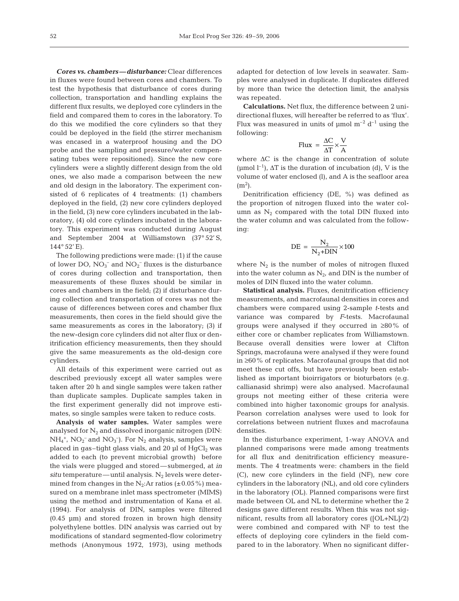*Cores vs. chambers—disturbance:* Clear differences in fluxes were found between cores and chambers. To test the hypothesis that disturbance of cores during collection, transportation and handling explains the different flux results, we deployed core cylinders in the field and compared them to cores in the laboratory. To do this we modified the core cylinders so that they could be deployed in the field (the stirrer mechanism was encased in a waterproof housing and the DO probe and the sampling and pressure/water compensating tubes were repositioned). Since the new core cylinders were a slightly different design from the old ones, we also made a comparison between the new and old design in the laboratory. The experiment consisted of 6 replicates of 4 treatments: (1) chambers deployed in the field, (2) new core cylinders deployed in the field, (3) new core cylinders incubated in the laboratory, (4) old core cylinders incubated in the laboratory. This experiment was conducted during August and September 2004 at Williamstown (37° 52' S,  $144^{\circ} 52'$  E).

The following predictions were made: (1) if the cause of lower DO,  $NO<sub>3</sub><sup>-</sup>$  and  $NO<sub>2</sub><sup>-</sup>$  fluxes is the disturbance of cores during collection and transportation, then measurements of these fluxes should be similar in cores and chambers in the field; (2) if disturbance during collection and transportation of cores was not the cause of differences between cores and chamber flux measurements, then cores in the field should give the same measurements as cores in the laboratory; (3) if the new-design core cylinders did not alter flux or denitrification efficiency measurements, then they should give the same measurements as the old-design core cylinders.

All details of this experiment were carried out as described previously except all water samples were taken after 20 h and single samples were taken rather than duplicate samples. Duplicate samples taken in the first experiment generally did not improve estimates, so single samples were taken to reduce costs.

**Analysis of water samples.** Water samples were analysed for  $N_2$  and dissolved inorganic nitrogen (DIN:  $NH_4^+$ ,  $NO_2^-$  and  $NO_3^-$ ). For  $N_2$  analysis, samples were placed in gas–tight glass vials, and 20  $\mu$ l of HgCl<sub>2</sub> was added to each (to prevent microbial growth) before the vials were plugged and stored—submerged, at *in*  $situ$  temperature—until analysis.  $N_2$  levels were determined from changes in the  $N_2$ :Ar ratios ( $\pm$ 0.05%) measured on a membrane inlet mass spectrometer (MIMS) using the method and instrumentation of Kana et al. (1994). For analysis of DIN, samples were filtered (0.45 µm) and stored frozen in brown high density polyethylene bottles. DIN analysis was carried out by modifications of standard segmented-flow colorimetry methods (Anonymous 1972, 1973), using methods

adapted for detection of low levels in seawater. Samples were analysed in duplicate. If duplicates differed by more than twice the detection limit, the analysis was repeated.

**Calculations.** Net flux, the difference between 2 unidirectional fluxes, will hereafter be referred to as 'flux'. Flux was measured in units of  $\mu$ mol m<sup>-2</sup> d<sup>-1</sup> using the following:

$$
Flux = \frac{\Delta C}{\Delta T} \times \frac{V}{A}
$$

where  $\Delta C$  is the change in concentration of solute (µmol  $l^{-1}$ ),  $\Delta T$  is the duration of incubation (d), V is the volume of water enclosed (l), and A is the seafloor area  $(m<sup>2</sup>)$ .

Denitrification efficiency (DE, %) was defined as the proportion of nitrogen fluxed into the water column as  $N_2$  compared with the total DIN fluxed into the water column and was calculated from the following:

$$
DE = \frac{N_2}{N_2 + DIN} \times 100
$$

where  $N_2$  is the number of moles of nitrogen fluxed into the water column as  $N_2$ , and DIN is the number of moles of DIN fluxed into the water column.

**Statistical analysis.** Fluxes, denitrification efficiency measurements, and macrofaunal densities in cores and chambers were compared using 2-sample *t*-tests and variance was compared by *F*-tests. Macrofaunal groups were analysed if they occurred in ≥80% of either core or chamber replicates from Williamstown. Because overall densities were lower at Clifton Springs, macrofauna were analysed if they were found in ≥60% of replicates. Macrofaunal groups that did not meet these cut offs, but have previously been established as important bioirrigators or bioturbators (e.g. callianasid shrimp) were also analysed. Macrofaunal groups not meeting either of these criteria were combined into higher taxonomic groups for analysis. Pearson correlation analyses were used to look for correlations between nutrient fluxes and macrofauna densities.

In the disturbance experiment, 1-way ANOVA and planned comparisons were made among treatments for all flux and denitrification efficiency measurements. The 4 treatments were: chambers in the field (C), new core cylinders in the field (NF), new core cylinders in the laboratory (NL), and old core cylinders in the laboratory (OL). Planned comparisons were first made between OL and NL to determine whether the 2 designs gave different results. When this was not significant, results from all laboratory cores ([OL+NL]/2) were combined and compared with NF to test the effects of deploying core cylinders in the field compared to in the laboratory. When no significant differ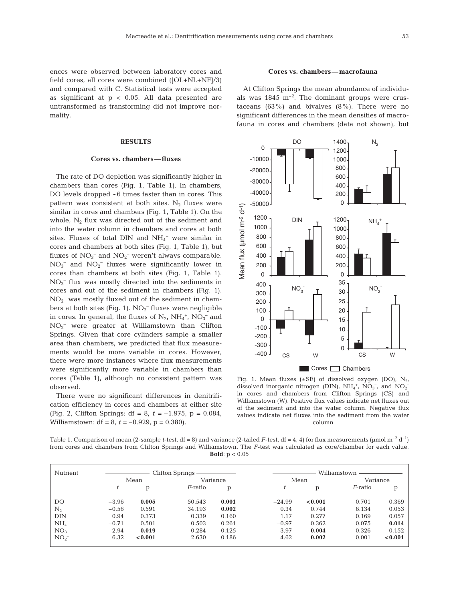ences were observed between laboratory cores and field cores, all cores were combined ([OL+NL+NF]/3) and compared with C. Statistical tests were accepted as significant at  $p < 0.05$ . All data presented are untransformed as transforming did not improve normality.

## **RESULTS**

#### **Cores vs. chambers—fluxes**

The rate of DO depletion was significantly higher in chambers than cores (Fig. 1, Table 1). In chambers, DO levels dropped ~6 times faster than in cores. This pattern was consistent at both sites.  $N_2$  fluxes were similar in cores and chambers (Fig. 1, Table 1). On the whole,  $N_2$  flux was directed out of the sediment and into the water column in chambers and cores at both sites. Fluxes of total DIN and  $NH_4^+$  were similar in cores and chambers at both sites (Fig. 1, Table 1), but fluxes of  $NO<sub>3</sub><sup>-</sup>$  and  $NO<sub>2</sub><sup>-</sup>$  weren't always comparable.  $NO<sub>3</sub><sup>-</sup>$  and  $NO<sub>2</sub><sup>-</sup>$  fluxes were significantly lower in cores than chambers at both sites (Fig. 1, Table 1). NO3 – flux was mostly directed into the sediments in cores and out of the sediment in chambers (Fig. 1). NO2 – was mostly fluxed out of the sediment in chambers at both sites (Fig. 1).  $NO<sub>2</sub><sup>-</sup>$  fluxes were negligible in cores. In general, the fluxes of  $N_2$ ,  $NH_4^+$ ,  $NO_3^-$  and NO2 – were greater at Williamstown than Clifton Springs. Given that core cylinders sample a smaller area than chambers, we predicted that flux measurements would be more variable in cores. However, there were more instances where flux measurements were significantly more variable in chambers than cores (Table 1), although no consistent pattern was observed.

There were no significant differences in denitrification efficiency in cores and chambers at either site (Fig. 2, Clifton Springs: df = 8, *t* = –1.975, p = 0.084, Williamstown: df = 8, *t* = –0.929, p = 0.380).

#### **Cores vs. chambers—macrofauna**

At Clifton Springs the mean abundance of individuals was  $1845 \text{ m}^{-2}$ . The dominant groups were crustaceans  $(63\%)$  and bivalves  $(8\%)$ . There were no significant differences in the mean densities of macrofauna in cores and chambers (data not shown), but



Fig. 1. Mean fluxes ( $\pm$ SE) of dissolved oxygen (DO), N<sub>2</sub>, dissolved inorganic nitrogen (DIN),  $NH_4^+$ ,  $NO_3^-$ , and  $NO_2^$ in cores and chambers from Clifton Springs (CS) and Williamstown (W). Positive flux values indicate net fluxes out of the sediment and into the water column. Negative flux values indicate net fluxes into the sediment from the water column

Table 1. Comparison of mean (2-sample *t*-test, df = 8) and variance (2-tailed *F*-test, df = 4, 4) for flux measurements (µmol m<sup>-2</sup> d<sup>-1</sup>) from cores and chambers from Clifton Springs and Williamstown. The *F*-test was calculated as core/chamber for each value. **Bold**: p < 0.05

| Nutrient           | <b>Clifton Springs</b> |         |                 |       | Williamstown |         |            |         |
|--------------------|------------------------|---------|-----------------|-------|--------------|---------|------------|---------|
|                    | Mean                   |         | Variance        |       | Mean         |         | Variance   |         |
|                    |                        | p       | <i>F</i> -ratio | р     |              | p       | $F$ -ratio | р       |
| DO                 | $-3.96$                | 0.005   | 50.543          | 0.001 | $-24.99$     | < 0.001 | 0.701      | 0.369   |
| $\mathrm{N}_2$     | $-0.56$                | 0.591   | 34.193          | 0.002 | 0.34         | 0.744   | 6.134      | 0.053   |
| <b>DIN</b>         | 0.94                   | 0.373   | 0.339           | 0.160 | 1.17         | 0.277   | 0.169      | 0.057   |
| $NH4+$             | $-0.71$                | 0.501   | 0.503           | 0.261 | $-0.97$      | 0.362   | 0.075      | 0.014   |
| $NO_3^-$           | 2.94                   | 0.019   | 0.284           | 0.125 | 3.97         | 0.004   | 0.326      | 0.152   |
| $NO2$ <sup>-</sup> | 6.32                   | < 0.001 | 2.630           | 0.186 | 4.62         | 0.002   | 0.001      | < 0.001 |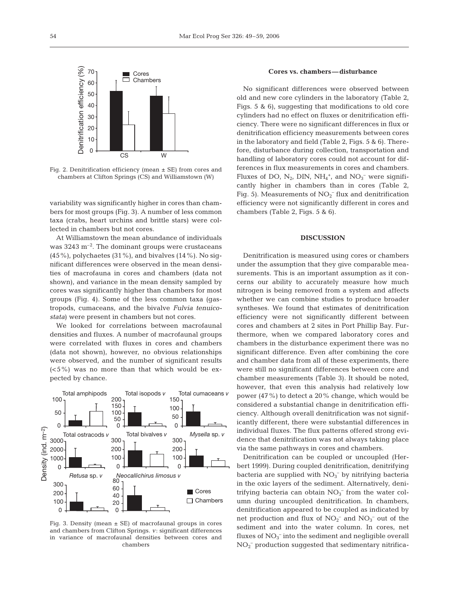

Fig. 2. Denitrification efficiency (mean ± SE) from cores and chambers at Clifton Springs (CS) and Williamstown (W)

variability was significantly higher in cores than chambers for most groups (Fig. 3). A number of less common taxa (crabs, heart urchins and brittle stars) were collected in chambers but not cores.

At Williamstown the mean abundance of individuals was  $3243 \text{ m}^{-2}$ . The dominant groups were crustaceans  $(45\%)$ , polychaetes  $(31\%)$ , and bivalves  $(14\%)$ . No significant differences were observed in the mean densities of macrofauna in cores and chambers (data not shown), and variance in the mean density sampled by cores was significantly higher than chambers for most groups (Fig. 4). Some of the less common taxa (gastropods, cumaceans, and the bivalve *Fulvia tenuicostata*) were present in chambers but not cores.

We looked for correlations between macrofaunal densities and fluxes. A number of macrofaunal groups were correlated with fluxes in cores and chambers (data not shown), however, no obvious relationships were observed, and the number of significant results  $(<5\%)$  was no more than that which would be expected by chance.



Fig. 3. Density (mean  $\pm$  SE) of macrofaunal groups in cores and chambers from Clifton Springs. *v*: significant differences in variance of macrofaunal densities between cores and chambers

## **Cores vs. chambers—disturbance**

No significant differences were observed between old and new core cylinders in the laboratory (Table 2, Figs. 5 & 6), suggesting that modifications to old core cylinders had no effect on fluxes or denitrification efficiency. There were no significant differences in flux or denitrification efficiency measurements between cores in the laboratory and field (Table 2, Figs. 5 & 6). Therefore, disturbance during collection, transportation and handling of laboratory cores could not account for differences in flux measurements in cores and chambers. Fluxes of DO,  $N_2$ , DIN, NH<sub>4</sub><sup>+</sup>, and NO<sub>3</sub><sup>-</sup> were significantly higher in chambers than in cores (Table 2, Fig. 5). Measurements of  $NO<sub>2</sub><sup>-</sup>$  flux and denitrification efficiency were not significantly different in cores and chambers (Table 2, Figs. 5 & 6).

## **DISCUSSION**

Denitrification is measured using cores or chambers under the assumption that they give comparable measurements. This is an important assumption as it concerns our ability to accurately measure how much nitrogen is being removed from a system and affects whether we can combine studies to produce broader syntheses. We found that estimates of denitrification efficiency were not significantly different between cores and chambers at 2 sites in Port Phillip Bay. Furthermore, when we compared laboratory cores and chambers in the disturbance experiment there was no significant difference. Even after combining the core and chamber data from all of these experiments, there were still no significant differences between core and chamber measurements (Table 3). It should be noted, however, that even this analysis had relatively low power (47%) to detect a 20% change, which would be considered a substantial change in denitrification efficiency. Although overall denitrification was not significantly different, there were substantial differences in individual fluxes. The flux patterns offered strong evidence that denitrification was not always taking place via the same pathways in cores and chambers.

Denitrification can be coupled or uncoupled (Herbert 1999). During coupled denitrification, denitrifying bacteria are supplied with NO<sub>3</sub><sup>-</sup> by nitrifying bacteria in the oxic layers of the sediment. Alternatively, denitrifying bacteria can obtain  $NO<sub>3</sub><sup>-</sup>$  from the water column during uncoupled denitrification. In chambers, denitrification appeared to be coupled as indicated by net production and flux of  $NO<sub>2</sub><sup>-</sup>$  and  $NO<sub>3</sub><sup>-</sup>$  out of the sediment and into the water column. In cores, net fluxes of  $NO_3^-$  into the sediment and negligible overall  $NO<sub>2</sub><sup>-</sup>$  production suggested that sedimentary nitrifica-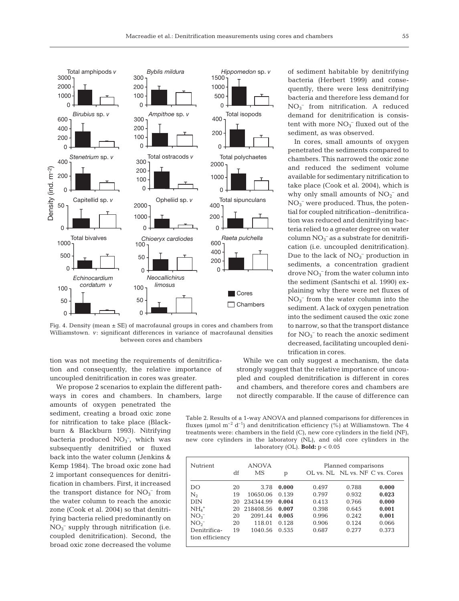

Fig. 4. Density (mean  $\pm$  SE) of macrofaunal groups in cores and chambers from Williamstown. *v*: significant differences in variance of macrofaunal densities between cores and chambers

tion was not meeting the requirements of denitrification and consequently, the relative importance of uncoupled denitrification in cores was greater.

We propose 2 scenarios to explain the different pathways in cores and chambers. In chambers, large

amounts of oxygen penetrated the sediment, creating a broad oxic zone for nitrification to take place (Blackburn & Blackburn 1993). Nitrifying bacteria produced  $NO<sub>3</sub><sup>-</sup>$ , which was subsequently denitrified or fluxed back into the water column (Jenkins & Kemp 1984). The broad oxic zone had 2 important consequences for denitrification in chambers. First, it increased the transport distance for  $NO<sub>3</sub><sup>-</sup>$  from the water column to reach the anoxic zone (Cook et al. 2004) so that denitrifying bacteria relied predominantly on  $NO<sub>3</sub><sup>-</sup>$  supply through nitrification (i.e. coupled denitrification). Second, the broad oxic zone decreased the volume of sediment habitable by denitrifying bacteria (Herbert 1999) and consequently, there were less denitrifying bacteria and therefore less demand for NO3 – from nitrification. A reduced demand for denitrification is consistent with more  $NO_3^-$  fluxed out of the sediment, as was observed.

In cores, small amounts of oxygen penetrated the sediments compared to chambers. This narrowed the oxic zone and reduced the sediment volume available for sedimentary nitrification to take place (Cook et al. 2004), which is why only small amounts of  $NO<sub>2</sub><sup>-</sup>$  and  $NO<sub>3</sub><sup>-</sup>$  were produced. Thus, the potential for coupled nitrification–denitrification was reduced and denitrifying bacteria relied to a greater degree on water column $\mathrm{NO_3}^-$  as a substrate for denitrification (i.e. uncoupled denitrification). Due to the lack of  $NO<sub>3</sub><sup>-</sup>$  production in sediments, a concentration gradient drove  $NO<sub>3</sub><sup>-</sup>$  from the water column into the sediment (Santschi et al. 1990) explaining why there were net fluxes of  $NO<sub>3</sub><sup>-</sup>$  from the water column into the sediment. A lack of oxygen penetration into the sediment caused the oxic zone to narrow, so that the transport distance for  $NO_3^-$  to reach the anoxic sediment decreased, facilitating uncoupled denitrification in cores.

While we can only suggest a mechanism, the data strongly suggest that the relative importance of uncoupled and coupled denitrification is different in cores and chambers, and therefore cores and chambers are not directly comparable. If the cause of difference can

Table 2. Results of a 1-way ANOVA and planned comparisons for differences in fluxes (µmol  $m^{-2}$  d<sup>-1</sup>) and denitrification efficiency (%) at Williamstown. The 4 treatments were: chambers in the field (C), new core cylinders in the field (NF), new core cylinders in the laboratory (NL), and old core cylinders in the laboratory (OL). **Bold:** p < 0.05

| Nutrient<br>df  |    | <b>ANOVA</b><br>MS | p     |       | Planned comparisons<br>OL vs. NL NL vs. NF C vs. Cores |       |  |
|-----------------|----|--------------------|-------|-------|--------------------------------------------------------|-------|--|
| DO              | 20 | 3.78               | 0.000 | 0.497 | 0.788                                                  | 0.000 |  |
| $N_{2}$         | 19 | 10650.06           | 0.139 | 0.797 | 0.932                                                  | 0.023 |  |
| <b>DIN</b>      | 20 | 234344.99          | 0.004 | 0.413 | 0.766                                                  | 0.000 |  |
| $NH4+$          | 20 | 218408.56          | 0.007 | 0.398 | 0.645                                                  | 0.001 |  |
| $NO_{3}^{-}$    | 20 | 2091.44            | 0.005 | 0.996 | 0.242                                                  | 0.001 |  |
| NO <sub>2</sub> | 20 | 118.01             | 0.128 | 0.906 | 0.124                                                  | 0.066 |  |
| Denitrifica-    | 19 | 1040.56            | 0.535 | 0.687 | 0.277                                                  | 0.373 |  |
| tion efficiency |    |                    |       |       |                                                        |       |  |
|                 |    |                    |       |       |                                                        |       |  |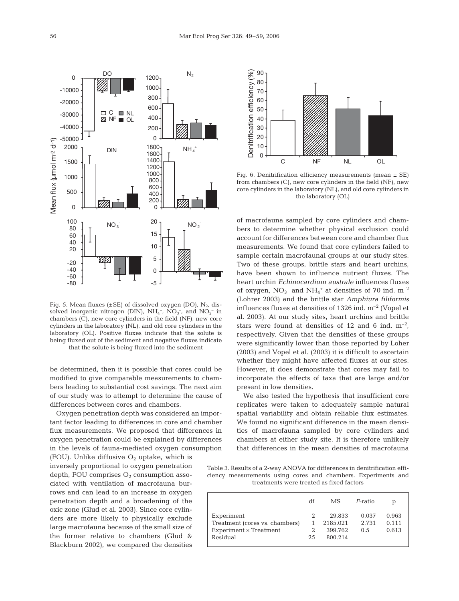

Fig. 5. Mean fluxes ( $\pm$ SE) of dissolved oxygen (DO), N<sub>2</sub>, dissolved inorganic nitrogen (DIN),  $NH_4^+$ ,  $NO_3^-$ , and  $NO_2^-$  in chambers (C), new core cylinders in the field (NF), new core cylinders in the laboratory (NL), and old core cylinders in the laboratory (OL). Positive fluxes indicate that the solute is being fluxed out of the sediment and negative fluxes indicate that the solute is being fluxed into the sediment

be determined, then it is possible that cores could be modified to give comparable measurements to chambers leading to substantial cost savings. The next aim of our study was to attempt to determine the cause of differences between cores and chambers.

Oxygen penetration depth was considered an important factor leading to differences in core and chamber flux measurements. We proposed that differences in oxygen penetration could be explained by differences in the levels of fauna-mediated oxygen consumption

(FOU). Unlike diffusive  $O<sub>2</sub>$  uptake, which is inversely proportional to oxygen penetration depth, FOU comprises  $O_2$  consumption associated with ventilation of macrofauna burrows and can lead to an increase in oxygen penetration depth and a broadening of the oxic zone (Glud et al. 2003). Since core cylinders are more likely to physically exclude large macrofauna because of the small size of the former relative to chambers (Glud & Blackburn 2002), we compared the densities



Fig. 6. Denitrification efficiency measurements (mean  $\pm$  SE) from chambers (C), new core cylinders in the field (NF), new core cylinders in the laboratory (NL), and old core cylinders in the laboratory (OL)

of macrofauna sampled by core cylinders and chambers to determine whether physical exclusion could account for differences between core and chamber flux measurements. We found that core cylinders failed to sample certain macrofaunal groups at our study sites. Two of these groups, brittle stars and heart urchins, have been shown to influence nutrient fluxes. The heart urchin *Echinocardium australe* influences fluxes of oxygen,  $NO_3^-$  and  $NH_4^+$  at densities of 70 ind.  $m^{-2}$ (Lohrer 2003) and the brittle star *Amphiura filiformis* influences fluxes at densities of  $1326$  ind.  $m^{-2}$  (Vopel et al. 2003). At our study sites, heart urchins and brittle stars were found at densities of 12 and 6 ind.  $m^{-2}$ , respectively. Given that the densities of these groups were significantly lower than those reported by Loher (2003) and Vopel et al. (2003) it is difficult to ascertain whether they might have affected fluxes at our sites. However, it does demonstrate that cores may fail to incorporate the effects of taxa that are large and/or present in low densities.

We also tested the hypothesis that insufficient core replicates were taken to adequately sample natural spatial variability and obtain reliable flux estimates. We found no significant difference in the mean densities of macrofauna sampled by core cylinders and chambers at either study site. It is therefore unlikely that differences in the mean densities of macrofauna

Table 3. Results of a 2-way ANOVA for differences in denitrification efficiency measurements using cores and chambers. Experiments and treatments were treated as fixed factors

|                                | df | МS       | F-ratio | р     |
|--------------------------------|----|----------|---------|-------|
| Experiment                     |    | 29.833   | 0.037   | 0.963 |
| Treatment (cores vs. chambers) |    | 2185.021 | 2.731   | 0.111 |
| $Experiment \times Treatment$  |    | 399.762  | 0.5     | 0.613 |
| Residual                       | 25 | 800.214  |         |       |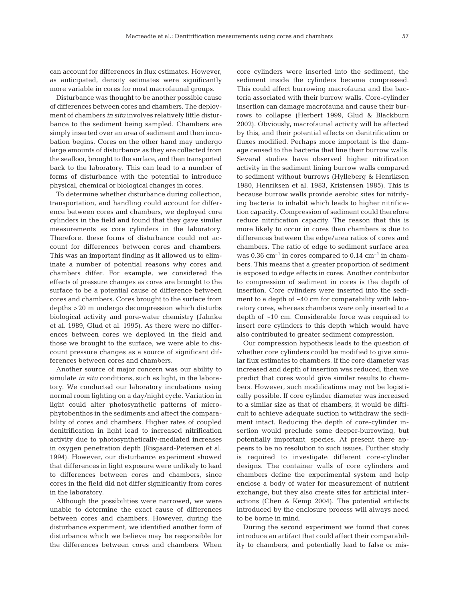can account for differences in flux estimates. However, as anticipated, density estimates were significantly more variable in cores for most macrofaunal groups.

Disturbance was thought to be another possible cause of differences between cores and chambers. The deployment of chambers *in situ* involves relatively little disturbance to the sediment being sampled. Chambers are simply inserted over an area of sediment and then incubation begins. Cores on the other hand may undergo large amounts of disturbance as they are collected from the seafloor, brought to the surface, and then transported back to the laboratory. This can lead to a number of forms of disturbance with the potential to introduce physical, chemical or biological changes in cores.

To determine whether disturbance during collection, transportation, and handling could account for difference between cores and chambers, we deployed core cylinders in the field and found that they gave similar measurements as core cylinders in the laboratory. Therefore, these forms of disturbance could not account for differences between cores and chambers. This was an important finding as it allowed us to eliminate a number of potential reasons why cores and chambers differ. For example, we considered the effects of pressure changes as cores are brought to the surface to be a potential cause of difference between cores and chambers. Cores brought to the surface from depths >20 m undergo decompression which disturbs biological activity and pore-water chemistry (Jahnke et al. 1989, Glud et al. 1995). As there were no differences between cores we deployed in the field and those we brought to the surface, we were able to discount pressure changes as a source of significant differences between cores and chambers.

Another source of major concern was our ability to simulate *in situ* conditions, such as light, in the laboratory. We conducted our laboratory incubations using normal room lighting on a day/night cycle. Variation in light could alter photosynthetic patterns of microphytobenthos in the sediments and affect the comparability of cores and chambers. Higher rates of coupled denitrification in light lead to increased nitrification activity due to photosynthetically-mediated increases in oxygen penetration depth (Risgaard-Petersen et al. 1994). However, our disturbance experiment showed that differences in light exposure were unlikely to lead to differences between cores and chambers, since cores in the field did not differ significantly from cores in the laboratory.

Although the possibilities were narrowed, we were unable to determine the exact cause of differences between cores and chambers. However, during the disturbance experiment, we identified another form of disturbance which we believe may be responsible for the differences between cores and chambers. When

core cylinders were inserted into the sediment, the sediment inside the cylinders became compressed. This could affect burrowing macrofauna and the bacteria associated with their burrow walls. Core-cylinder insertion can damage macrofauna and cause their burrows to collapse (Herbert 1999, Glud & Blackburn 2002). Obviously, macrofaunal activity will be affected by this, and their potential effects on denitrification or fluxes modified. Perhaps more important is the damage caused to the bacteria that line their burrow walls. Several studies have observed higher nitrification activity in the sediment lining burrow walls compared to sediment without burrows (Hylleberg & Henriksen 1980, Henriksen et al. 1983, Kristensen 1985). This is because burrow walls provide aerobic sites for nitrifying bacteria to inhabit which leads to higher nitrification capacity. Compression of sediment could therefore reduce nitrification capacity. The reason that this is more likely to occur in cores than chambers is due to differences between the edge/area ratios of cores and chambers. The ratio of edge to sediment surface area was  $0.36 \text{ cm}^{-1}$  in cores compared to  $0.14 \text{ cm}^{-1}$  in chambers. This means that a greater proportion of sediment is exposed to edge effects in cores. Another contributor to compression of sediment in cores is the depth of insertion. Core cylinders were inserted into the sediment to a depth of ~40 cm for comparability with laboratory cores, whereas chambers were only inserted to a depth of ~10 cm. Considerable force was required to insert core cylinders to this depth which would have also contributed to greater sediment compression.

Our compression hypothesis leads to the question of whether core cylinders could be modified to give similar flux estimates to chambers. If the core diameter was increased and depth of insertion was reduced, then we predict that cores would give similar results to chambers. However, such modifications may not be logistically possible. If core cylinder diameter was increased to a similar size as that of chambers, it would be difficult to achieve adequate suction to withdraw the sediment intact. Reducing the depth of core-cylinder insertion would preclude some deeper-burrowing, but potentially important, species. At present there appears to be no resolution to such issues. Further study is required to investigate different core-cylinder designs. The container walls of core cylinders and chambers define the experimental system and help enclose a body of water for measurement of nutrient exchange, but they also create sites for artificial interactions (Chen & Kemp 2004). The potential artifacts introduced by the enclosure process will always need to be borne in mind.

During the second experiment we found that cores introduce an artifact that could affect their comparability to chambers, and potentially lead to false or mis-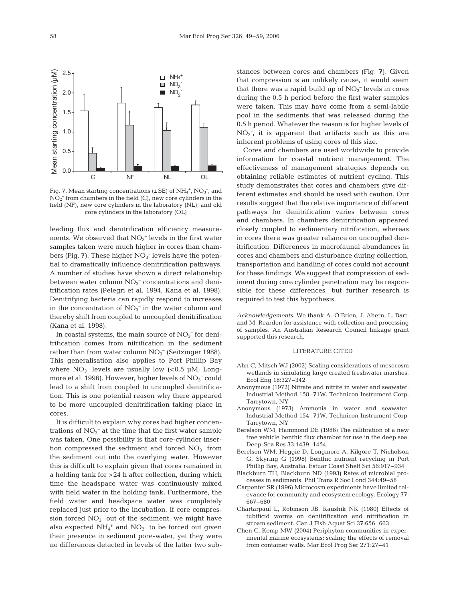

NH<sub>4</sub>  $NO<sub>3</sub>$  $NO<sub>2</sub>$ 

 $\Box$  $\Box$ п

Fig. 7. Mean starting concentrations  $(\pm SE)$  of  $NH_4^+$ ,  $NO_3^-$ , and  $NO<sub>2</sub><sup>-</sup>$  from chambers in the field (C), new core cylinders in the field (NF), new core cylinders in the laboratory (NL), and old core cylinders in the laboratory (OL)

leading flux and denitrification efficiency measurements. We observed that  $NO<sub>3</sub><sup>-</sup>$  levels in the first water samples taken were much higher in cores than chambers (Fig. 7). These higher  $NO<sub>3</sub><sup>-</sup>$  levels have the potential to dramatically influence denitrification pathways. A number of studies have shown a direct relationship between water column $\mathrm{NO_3^-}$  concentrations and denitrification rates (Pelegri et al. 1994, Kana et al. 1998). Denitrifying bacteria can rapidly respond to increases in the concentration of  $NO<sub>3</sub><sup>-</sup>$  in the water column and thereby shift from coupled to uncoupled denitrification (Kana et al. 1998).

In coastal systems, the main source of  $NO<sub>3</sub><sup>-</sup>$  for denitrification comes from nitrification in the sediment rather than from water column  $NO<sub>3</sub><sup>-</sup>$  (Seitzinger 1988). This generalisation also applies to Port Phillip Bay where  $NO_3^-$  levels are usually low (<0.5  $\mu$ M; Longmore et al. 1996). However, higher levels of  $\mathrm{NO_3^-}$  could lead to a shift from coupled to uncoupled denitrification. This is one potential reason why there appeared to be more uncoupled denitrification taking place in cores.

It is difficult to explain why cores had higher concentrations of  $NO<sub>3</sub><sup>-</sup>$  at the time that the first water sample was taken. One possibility is that core-cylinder insertion compressed the sediment and forced  $NO<sub>3</sub><sup>-</sup>$  from the sediment out into the overlying water. However this is difficult to explain given that cores remained in a holding tank for >24 h after collection, during which time the headspace water was continuously mixed with field water in the holding tank. Furthermore, the field water and headspace water was completely replaced just prior to the incubation. If core compression forced  $NO<sub>3</sub><sup>-</sup>$  out of the sediment, we might have also expected  $NH_4$ <sup>+</sup> and  $NO_2^-$  to be forced out given their presence in sediment pore-water, yet they were no differences detected in levels of the latter two sub-

stances between cores and chambers (Fig. 7). Given that compression is an unlikely cause, it would seem that there was a rapid build up of  $NO<sub>3</sub><sup>-</sup>$  levels in cores during the 0.5 h period before the first water samples were taken. This may have come from a semi-labile pool in the sediments that was released during the 0.5 h period. Whatever the reason is for higher levels of NO3 – , it is apparent that artifacts such as this are inherent problems of using cores of this size.

Cores and chambers are used worldwide to provide information for coastal nutrient management. The effectiveness of management strategies depends on obtaining reliable estimates of nutrient cycling. This study demonstrates that cores and chambers give different estimates and should be used with caution. Our results suggest that the relative importance of different pathways for denitrification varies between cores and chambers. In chambers denitrification appeared closely coupled to sedimentary nitrification, whereas in cores there was greater reliance on uncoupled denitrification. Differences in macrofaunal abundances in cores and chambers and disturbance during collection, transportation and handling of cores could not account for these findings. We suggest that compression of sediment during core cylinder penetration may be responsible for these differences, but further research is required to test this hypothesis.

*Acknowledgements*. We thank A. O'Brien, J. Ahern, L. Barr, and M. Reardon for assistance with collection and processing of samples. An Australian Research Council linkage grant supported this research.

### LITERATURE CITED

- Ahn C, Mitsch WJ (2002) Scaling considerations of mesocosm wetlands in simulating large created freshwater marshes. Ecol Eng 18:327–342
- Anonymous (1972) Nitrate and nitrite in water and seawater. Industrial Method 158–71W. Technicon Instrument Corp, Tarrytown, NY
- Anonymous (1973) Ammonia in water and seawater. Industrial Method 154–71W. Technicon Instrument Corp, Tarrytown, NY
- Berelson WM, Hammond DE (1986) The calibration of a new free vehicle benthic flux chamber for use in the deep sea. Deep-Sea Res 33:1439–1454
- Berelson WM, Heggie D, Longmore A, Kilgore T, Nicholson G, Skyring G (1998) Benthic nutrient recycling in Port Phillip Bay, Australia. Estuar Coast Shelf Sci 56:917–934
- Blackburn TH, Blackburn ND (1993) Rates of microbial processes in sediments. Phil Trans R Soc Lond 344:49–58
- Carpenter SR (1996) Microcosm experiments have limited relevance for community and ecosystem ecology. Ecology 77: 667–680
- Chartarpaul L, Robinson JB, Kaushik NK (1980) Effects of tubificid worms on denitrification and nitrification in stream sediment. Can J Fish Aquat Sci 37:656–663
- Chen C, Kemp MW (2004) Periphyton communities in experimental marine ecosystems: scaling the effects of removal from container walls. Mar Ecol Prog Ser 271:27–41

2.0

2.5